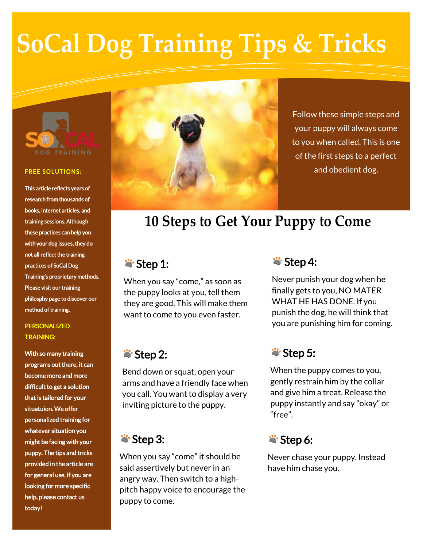# **SoCal Dog Training Tips & Tricks**



#### **FREE SOLUTIONS:**

This article reflects years of research from thousands of books, internet articles, and training sessions. Although these practices can help you with your dog issues, they do not all reflect the training practices of SoCal Dog Training's proprietary methods. Please visit our training philosphy page to discover our method of training.

#### PERSONALIZED TRAINING:

With so many training programs out there, it can become more and more difficult to get a solution that is tailored for your situatuion. We offer personalized training for whatever situation you might be facing with your puppy. The tips and tricks provided in the article are for general use, if you are looking for more specific help, please contact us today!



Follow these simple steps and your puppy will always come to you when called. This is one of the first steps to a perfect and obedient dog.

# **10 Steps to Get Your Puppy to Come**

### $\ddot{\bullet}$  Step 1:

When you say "come," as soon as the puppy looks at you, tell them they are good. This will make them want to come to you even faster.

## **Step 2:**

Bend down or squat, open your arms and have a friendly face when you call. You want to display a very inviting picture to the puppy.

### **Step 3:**

When you say "come" it should be said assertively but never in an angry way. Then switch to a highpitch happy voice to encourage the puppy to come.

### $\ddot{\bullet}$  Step 4:

Never punish your dog when he finally gets to you, NO MATER WHAT HE HAS DONE. If you punish the dog, he will think that you are punishing him for coming.

### $\ddot{\bullet}$  Step 5:

When the puppy comes to you, gently restrain him by the collar and give him a treat. Release the puppy instantly and say "okay" or "free".

#### $\ddot{\bullet}$  Step 6:

Never chase your puppy. Instead have him chase you.